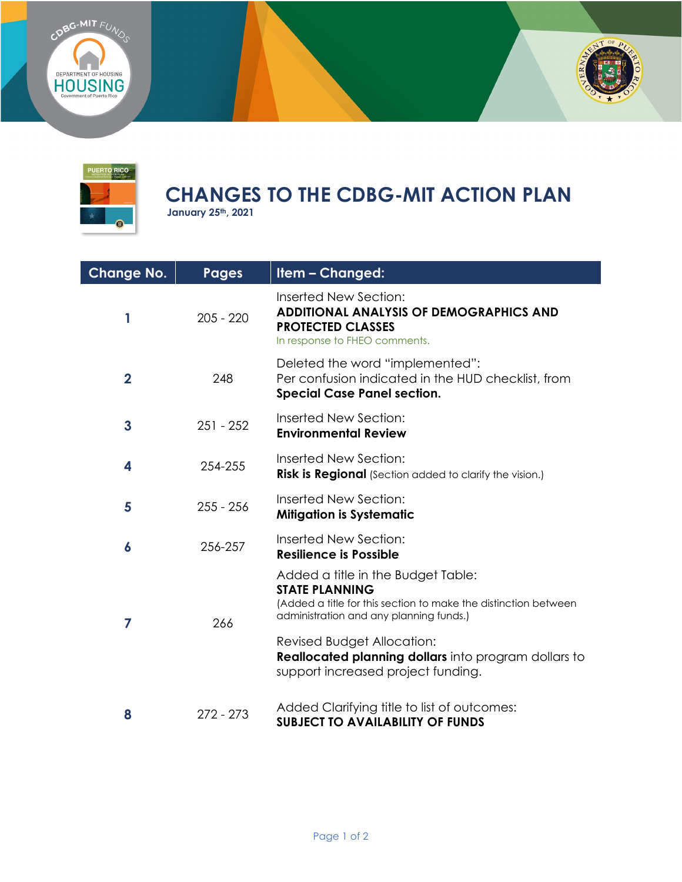





## CHANGES TO THE CDBG-MIT ACTION PLAN<br>January 25th, 2021

| <b>Change No.</b> | <b>Pages</b> | Item - Changed:                                                                                                                                                                                                                                                                                       |
|-------------------|--------------|-------------------------------------------------------------------------------------------------------------------------------------------------------------------------------------------------------------------------------------------------------------------------------------------------------|
| 1                 | $205 - 220$  | Inserted New Section:<br><b>ADDITIONAL ANALYSIS OF DEMOGRAPHICS AND</b><br><b>PROTECTED CLASSES</b><br>In response to FHEO comments.                                                                                                                                                                  |
| $\overline{2}$    | 248          | Deleted the word "implemented":<br>Per confusion indicated in the HUD checklist, from<br><b>Special Case Panel section.</b>                                                                                                                                                                           |
| $\mathbf{3}$      | $251 - 252$  | Inserted New Section:<br><b>Environmental Review</b>                                                                                                                                                                                                                                                  |
| 4                 | 254-255      | Inserted New Section:<br><b>Risk is Regional</b> (Section added to clarify the vision.)                                                                                                                                                                                                               |
| 5                 | $255 - 256$  | Inserted New Section:<br><b>Mitigation is Systematic</b>                                                                                                                                                                                                                                              |
| 6                 | 256-257      | Inserted New Section:<br><b>Resilience is Possible</b>                                                                                                                                                                                                                                                |
| 7                 | 266          | Added a title in the Budget Table:<br><b>STATE PLANNING</b><br>(Added a title for this section to make the distinction between<br>administration and any planning funds.)<br>Revised Budget Allocation:<br>Reallocated planning dollars into program dollars to<br>support increased project funding. |
| 8                 | $272 - 273$  | Added Clarifying title to list of outcomes:<br><b>SUBJECT TO AVAILABILITY OF FUNDS</b>                                                                                                                                                                                                                |